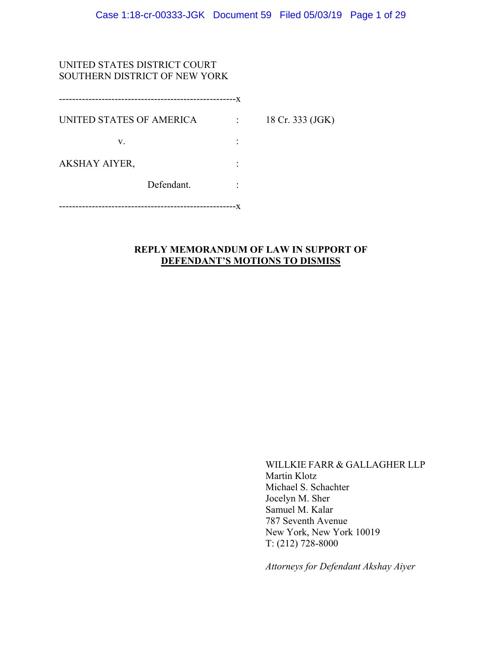## UNITED STATES DISTRICT COURT SOUTHERN DISTRICT OF NEW YORK

|                          | --------------- | --X |                  |
|--------------------------|-----------------|-----|------------------|
| UNITED STATES OF AMERICA |                 |     | 18 Cr. 333 (JGK) |
| V.                       |                 |     |                  |
| AKSHAY AIYER,            |                 |     |                  |
|                          | Defendant.      |     |                  |
|                          |                 |     |                  |

## **REPLY MEMORANDUM OF LAW IN SUPPORT OF DEFENDANT'S MOTIONS TO DISMISS**

WILLKIE FARR & GALLAGHER LLP Martin Klotz Michael S. Schachter Jocelyn M. Sher Samuel M. Kalar 787 Seventh Avenue New York, New York 10019 T: (212) 728-8000

*Attorneys for Defendant Akshay Aiyer*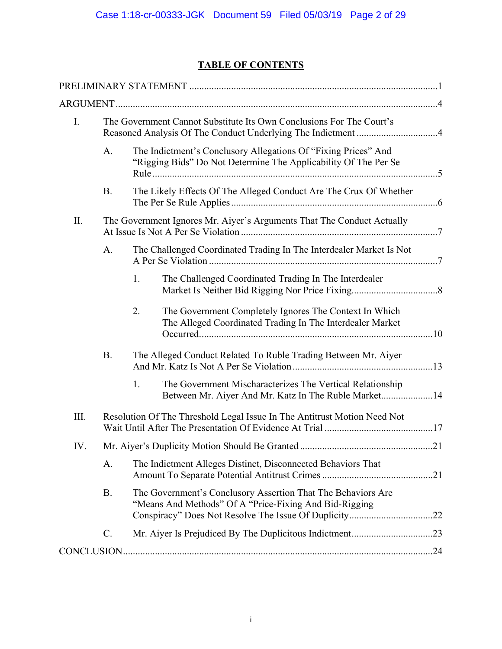## **TABLE OF CONTENTS**

| $I_{\cdot}$ |           |             | The Government Cannot Substitute Its Own Conclusions For The Court's                                                              |  |
|-------------|-----------|-------------|-----------------------------------------------------------------------------------------------------------------------------------|--|
|             | A.        |             | The Indictment's Conclusory Allegations Of "Fixing Prices" And<br>"Rigging Bids" Do Not Determine The Applicability Of The Per Se |  |
|             | <b>B.</b> |             | The Likely Effects Of The Alleged Conduct Are The Crux Of Whether                                                                 |  |
| II.         |           |             | The Government Ignores Mr. Aiyer's Arguments That The Conduct Actually                                                            |  |
|             | A.        |             | The Challenged Coordinated Trading In The Interdealer Market Is Not                                                               |  |
|             |           | $1_{\cdot}$ | The Challenged Coordinated Trading In The Interdealer                                                                             |  |
|             |           | 2.          | The Government Completely Ignores The Context In Which<br>The Alleged Coordinated Trading In The Interdealer Market               |  |
|             | <b>B.</b> |             | The Alleged Conduct Related To Ruble Trading Between Mr. Aiyer                                                                    |  |
|             |           | 1.          | The Government Mischaracterizes The Vertical Relationship<br>Between Mr. Aiyer And Mr. Katz In The Ruble Market14                 |  |
| Ш.          |           |             | Resolution Of The Threshold Legal Issue In The Antitrust Motion Need Not                                                          |  |
| IV.         |           |             |                                                                                                                                   |  |
|             | A.        |             | The Indictment Alleges Distinct, Disconnected Behaviors That                                                                      |  |
|             | <b>B.</b> |             | The Government's Conclusory Assertion That The Behaviors Are<br>"Means And Methods" Of A "Price-Fixing And Bid-Rigging            |  |
|             | C.        |             |                                                                                                                                   |  |
|             |           |             |                                                                                                                                   |  |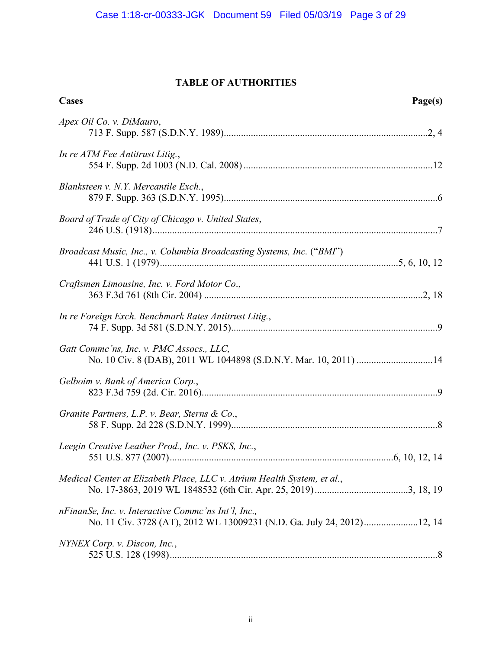## **TABLE OF AUTHORITIES**

| Cases                                                                                                                         | Page(s) |
|-------------------------------------------------------------------------------------------------------------------------------|---------|
| Apex Oil Co. v. DiMauro,                                                                                                      |         |
| In re ATM Fee Antitrust Litig.,                                                                                               |         |
| Blanksteen v. N.Y. Mercantile Exch.,                                                                                          |         |
| Board of Trade of City of Chicago v. United States,                                                                           |         |
| Broadcast Music, Inc., v. Columbia Broadcasting Systems, Inc. ("BMI")                                                         |         |
| Craftsmen Limousine, Inc. v. Ford Motor Co.,                                                                                  |         |
| In re Foreign Exch. Benchmark Rates Antitrust Litig.,                                                                         |         |
| Gatt Comme'ns, Inc. v. PMC Assocs., LLC,<br>No. 10 Civ. 8 (DAB), 2011 WL 1044898 (S.D.N.Y. Mar. 10, 2011) 14                  |         |
| Gelboim v. Bank of America Corp.,                                                                                             |         |
| Granite Partners, L.P. v. Bear, Sterns & Co.,                                                                                 |         |
| Leegin Creative Leather Prod., Inc. v. PSKS, Inc.,                                                                            |         |
| Medical Center at Elizabeth Place, LLC v. Atrium Health System, et al.,                                                       |         |
| nFinanSe, Inc. v. Interactive Commc'ns Int'l, Inc.,<br>No. 11 Civ. 3728 (AT), 2012 WL 13009231 (N.D. Ga. July 24, 2012)12, 14 |         |
| NYNEX Corp. v. Discon, Inc.,                                                                                                  |         |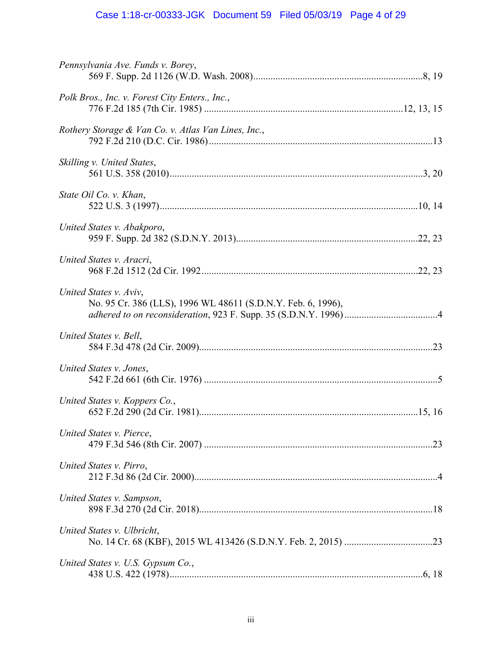# Case 1:18-cr-00333-JGK Document 59 Filed 05/03/19 Page 4 of 29

| Pennsylvania Ave. Funds v. Borey,                                                      |  |
|----------------------------------------------------------------------------------------|--|
| Polk Bros., Inc. v. Forest City Enters., Inc.,                                         |  |
| Rothery Storage & Van Co. v. Atlas Van Lines, Inc.,                                    |  |
| Skilling v. United States,                                                             |  |
| State Oil Co. v. Khan,                                                                 |  |
| United States v. Abakporo,                                                             |  |
| United States v. Aracri,                                                               |  |
| United States v. Aviv,<br>No. 95 Cr. 386 (LLS), 1996 WL 48611 (S.D.N.Y. Feb. 6, 1996), |  |
| United States v. Bell,                                                                 |  |
| United States v. Jones,                                                                |  |
| United States v. Koppers Co.,                                                          |  |
| United States v. Pierce,                                                               |  |
| United States v. Pirro,                                                                |  |
| United States v. Sampson,                                                              |  |
| United States v. Ulbricht,                                                             |  |
| United States v. U.S. Gypsum Co.,                                                      |  |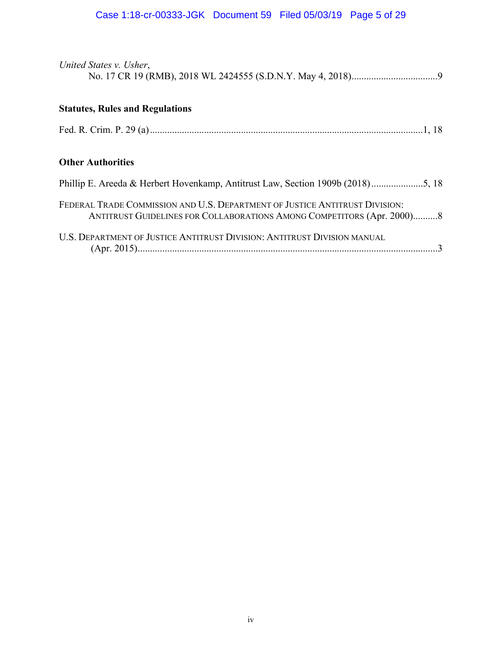# Case 1:18-cr-00333-JGK Document 59 Filed 05/03/19 Page 5 of 29

| United States v. Usher,                                                                                                                               |
|-------------------------------------------------------------------------------------------------------------------------------------------------------|
| <b>Statutes, Rules and Regulations</b>                                                                                                                |
|                                                                                                                                                       |
| <b>Other Authorities</b>                                                                                                                              |
|                                                                                                                                                       |
| FEDERAL TRADE COMMISSION AND U.S. DEPARTMENT OF JUSTICE ANTITRUST DIVISION:<br>ANTITRUST GUIDELINES FOR COLLABORATIONS AMONG COMPETITORS (Apr. 2000)8 |
| U.S. DEPARTMENT OF JUSTICE ANTITRUST DIVISION: ANTITRUST DIVISION MANUAL                                                                              |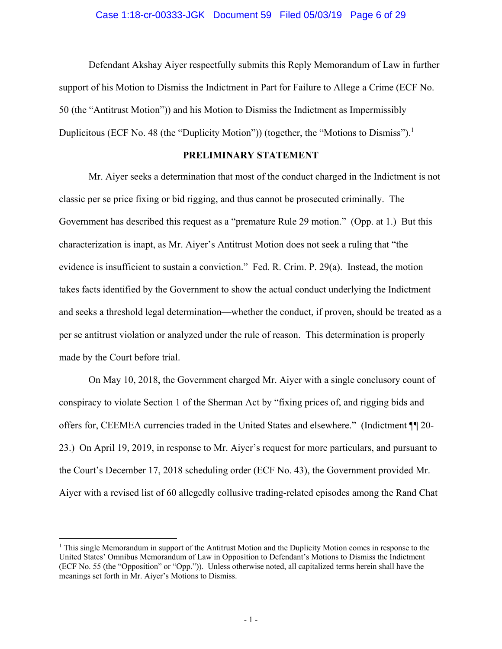Defendant Akshay Aiyer respectfully submits this Reply Memorandum of Law in further support of his Motion to Dismiss the Indictment in Part for Failure to Allege a Crime (ECF No. 50 (the "Antitrust Motion")) and his Motion to Dismiss the Indictment as Impermissibly Duplicitous (ECF No. 48 (the "Duplicity Motion")) (together, the "Motions to Dismiss").<sup>1</sup>

## **PRELIMINARY STATEMENT**

Mr. Aiyer seeks a determination that most of the conduct charged in the Indictment is not classic per se price fixing or bid rigging, and thus cannot be prosecuted criminally. The Government has described this request as a "premature Rule 29 motion." (Opp. at 1.) But this characterization is inapt, as Mr. Aiyer's Antitrust Motion does not seek a ruling that "the evidence is insufficient to sustain a conviction." Fed. R. Crim. P. 29(a). Instead, the motion takes facts identified by the Government to show the actual conduct underlying the Indictment and seeks a threshold legal determination—whether the conduct, if proven, should be treated as a per se antitrust violation or analyzed under the rule of reason. This determination is properly made by the Court before trial.

On May 10, 2018, the Government charged Mr. Aiyer with a single conclusory count of conspiracy to violate Section 1 of the Sherman Act by "fixing prices of, and rigging bids and offers for, CEEMEA currencies traded in the United States and elsewhere." (Indictment ¶¶ 20- 23.) On April 19, 2019, in response to Mr. Aiyer's request for more particulars, and pursuant to the Court's December 17, 2018 scheduling order (ECF No. 43), the Government provided Mr. Aiyer with a revised list of 60 allegedly collusive trading-related episodes among the Rand Chat

1

<sup>&</sup>lt;sup>1</sup> This single Memorandum in support of the Antitrust Motion and the Duplicity Motion comes in response to the United States' Omnibus Memorandum of Law in Opposition to Defendant's Motions to Dismiss the Indictment (ECF No. 55 (the "Opposition" or "Opp.")). Unless otherwise noted, all capitalized terms herein shall have the meanings set forth in Mr. Aiyer's Motions to Dismiss.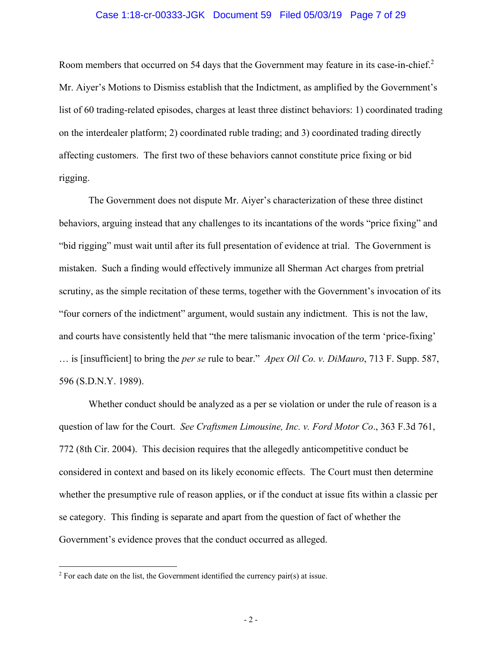#### Case 1:18-cr-00333-JGK Document 59 Filed 05/03/19 Page 7 of 29

Room members that occurred on 54 days that the Government may feature in its case-in-chief.<sup>2</sup> Mr. Aiyer's Motions to Dismiss establish that the Indictment, as amplified by the Government's list of 60 trading-related episodes, charges at least three distinct behaviors: 1) coordinated trading on the interdealer platform; 2) coordinated ruble trading; and 3) coordinated trading directly affecting customers. The first two of these behaviors cannot constitute price fixing or bid rigging.

The Government does not dispute Mr. Aiyer's characterization of these three distinct behaviors, arguing instead that any challenges to its incantations of the words "price fixing" and "bid rigging" must wait until after its full presentation of evidence at trial. The Government is mistaken. Such a finding would effectively immunize all Sherman Act charges from pretrial scrutiny, as the simple recitation of these terms, together with the Government's invocation of its "four corners of the indictment" argument, would sustain any indictment. This is not the law, and courts have consistently held that "the mere talismanic invocation of the term 'price-fixing' … is [insufficient] to bring the *per se* rule to bear." *Apex Oil Co. v. DiMauro*, 713 F. Supp. 587, 596 (S.D.N.Y. 1989).

Whether conduct should be analyzed as a per se violation or under the rule of reason is a question of law for the Court. *See Craftsmen Limousine, Inc. v. Ford Motor Co*., 363 F.3d 761, 772 (8th Cir. 2004). This decision requires that the allegedly anticompetitive conduct be considered in context and based on its likely economic effects. The Court must then determine whether the presumptive rule of reason applies, or if the conduct at issue fits within a classic per se category. This finding is separate and apart from the question of fact of whether the Government's evidence proves that the conduct occurred as alleged.

<sup>&</sup>lt;sup>2</sup> For each date on the list, the Government identified the currency pair(s) at issue.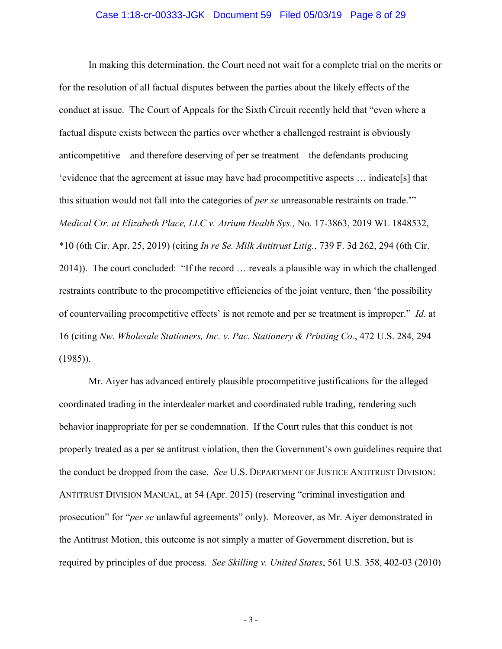#### Case 1:18-cr-00333-JGK Document 59 Filed 05/03/19 Page 8 of 29

In making this determination, the Court need not wait for a complete trial on the merits or for the resolution of all factual disputes between the parties about the likely effects of the conduct at issue. The Court of Appeals for the Sixth Circuit recently held that "even where a factual dispute exists between the parties over whether a challenged restraint is obviously anticompetitive—and therefore deserving of per se treatment—the defendants producing 'evidence that the agreement at issue may have had procompetitive aspects … indicate[s] that this situation would not fall into the categories of *per se* unreasonable restraints on trade.'" *Medical Ctr. at Elizabeth Place, LLC v. Atrium Health Sys.,* No. 17-3863, 2019 WL 1848532, \*10 (6th Cir. Apr. 25, 2019) (citing *In re Se. Milk Antitrust Litig.*, 739 F. 3d 262, 294 (6th Cir. 2014)). The court concluded: "If the record … reveals a plausible way in which the challenged restraints contribute to the procompetitive efficiencies of the joint venture, then 'the possibility of countervailing procompetitive effects' is not remote and per se treatment is improper." *Id*. at 16 (citing *Nw. Wholesale Stationers, Inc. v. Pac. Stationery & Printing Co.*, 472 U.S. 284, 294 (1985)).

Mr. Aiyer has advanced entirely plausible procompetitive justifications for the alleged coordinated trading in the interdealer market and coordinated ruble trading, rendering such behavior inappropriate for per se condemnation. If the Court rules that this conduct is not properly treated as a per se antitrust violation, then the Government's own guidelines require that the conduct be dropped from the case. *See* U.S. DEPARTMENT OF JUSTICE ANTITRUST DIVISION: ANTITRUST DIVISION MANUAL, at 54 (Apr. 2015) (reserving "criminal investigation and prosecution" for "*per se* unlawful agreements" only). Moreover, as Mr. Aiyer demonstrated in the Antitrust Motion, this outcome is not simply a matter of Government discretion, but is required by principles of due process. *See Skilling v. United States*, 561 U.S. 358, 402-03 (2010)

- 3 -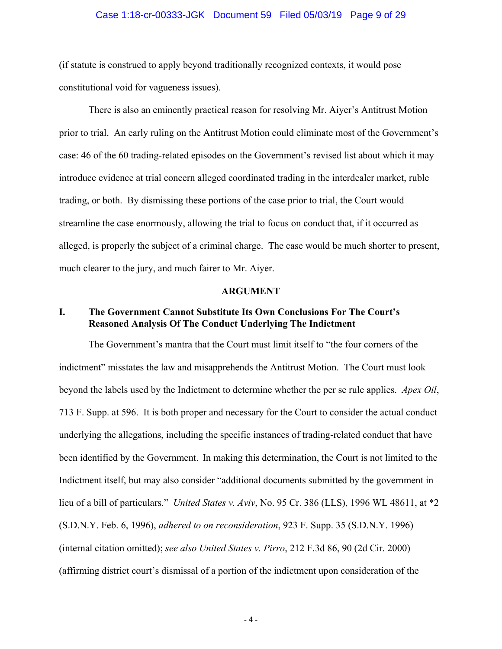#### Case 1:18-cr-00333-JGK Document 59 Filed 05/03/19 Page 9 of 29

(if statute is construed to apply beyond traditionally recognized contexts, it would pose constitutional void for vagueness issues).

There is also an eminently practical reason for resolving Mr. Aiyer's Antitrust Motion prior to trial. An early ruling on the Antitrust Motion could eliminate most of the Government's case: 46 of the 60 trading-related episodes on the Government's revised list about which it may introduce evidence at trial concern alleged coordinated trading in the interdealer market, ruble trading, or both. By dismissing these portions of the case prior to trial, the Court would streamline the case enormously, allowing the trial to focus on conduct that, if it occurred as alleged, is properly the subject of a criminal charge. The case would be much shorter to present, much clearer to the jury, and much fairer to Mr. Aiyer.

#### **ARGUMENT**

## **I. The Government Cannot Substitute Its Own Conclusions For The Court's Reasoned Analysis Of The Conduct Underlying The Indictment**

The Government's mantra that the Court must limit itself to "the four corners of the indictment" misstates the law and misapprehends the Antitrust Motion. The Court must look beyond the labels used by the Indictment to determine whether the per se rule applies. *Apex Oil*, 713 F. Supp. at 596. It is both proper and necessary for the Court to consider the actual conduct underlying the allegations, including the specific instances of trading-related conduct that have been identified by the Government. In making this determination, the Court is not limited to the Indictment itself, but may also consider "additional documents submitted by the government in lieu of a bill of particulars." *United States v. Aviv*, No. 95 Cr. 386 (LLS), 1996 WL 48611, at \*2 (S.D.N.Y. Feb. 6, 1996), *adhered to on reconsideration*, 923 F. Supp. 35 (S.D.N.Y. 1996) (internal citation omitted); *see also United States v. Pirro*, 212 F.3d 86, 90 (2d Cir. 2000) (affirming district court's dismissal of a portion of the indictment upon consideration of the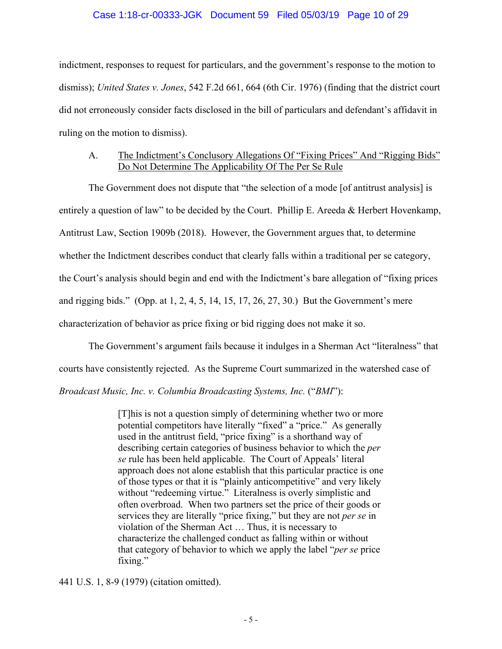### Case 1:18-cr-00333-JGK Document 59 Filed 05/03/19 Page 10 of 29

indictment, responses to request for particulars, and the government's response to the motion to dismiss); *United States v. Jones*, 542 F.2d 661, 664 (6th Cir. 1976) (finding that the district court did not erroneously consider facts disclosed in the bill of particulars and defendant's affidavit in ruling on the motion to dismiss).

## A. The Indictment's Conclusory Allegations Of "Fixing Prices" And "Rigging Bids" Do Not Determine The Applicability Of The Per Se Rule

The Government does not dispute that "the selection of a mode [of antitrust analysis] is entirely a question of law" to be decided by the Court. Phillip E. Areeda & Herbert Hovenkamp, Antitrust Law, Section 1909b (2018). However, the Government argues that, to determine whether the Indictment describes conduct that clearly falls within a traditional per se category, the Court's analysis should begin and end with the Indictment's bare allegation of "fixing prices and rigging bids." (Opp. at 1, 2, 4, 5, 14, 15, 17, 26, 27, 30.) But the Government's mere characterization of behavior as price fixing or bid rigging does not make it so.

The Government's argument fails because it indulges in a Sherman Act "literalness" that

courts have consistently rejected. As the Supreme Court summarized in the watershed case of

*Broadcast Music, Inc. v. Columbia Broadcasting Systems, Inc.* ("*BMI*"):

[T]his is not a question simply of determining whether two or more potential competitors have literally "fixed" a "price." As generally used in the antitrust field, "price fixing" is a shorthand way of describing certain categories of business behavior to which the *per se* rule has been held applicable. The Court of Appeals' literal approach does not alone establish that this particular practice is one of those types or that it is "plainly anticompetitive" and very likely without "redeeming virtue." Literalness is overly simplistic and often overbroad. When two partners set the price of their goods or services they are literally "price fixing," but they are not *per se* in violation of the Sherman Act … Thus, it is necessary to characterize the challenged conduct as falling within or without that category of behavior to which we apply the label "*per se* price fixing."

441 U.S. 1, 8-9 (1979) (citation omitted).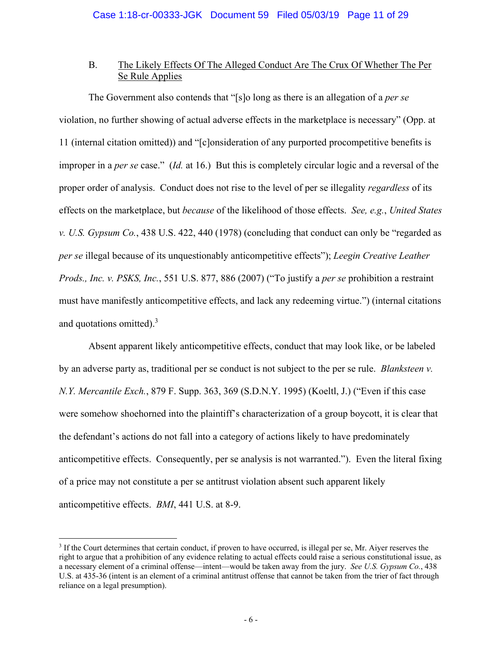## B. The Likely Effects Of The Alleged Conduct Are The Crux Of Whether The Per Se Rule Applies

The Government also contends that "[s]o long as there is an allegation of a *per se* violation, no further showing of actual adverse effects in the marketplace is necessary" (Opp. at 11 (internal citation omitted)) and "[c]onsideration of any purported procompetitive benefits is improper in a *per se* case." (*Id.* at 16.) But this is completely circular logic and a reversal of the proper order of analysis. Conduct does not rise to the level of per se illegality *regardless* of its effects on the marketplace, but *because* of the likelihood of those effects. *See, e.g.*, *United States v. U.S. Gypsum Co.*, 438 U.S. 422, 440 (1978) (concluding that conduct can only be "regarded as *per se* illegal because of its unquestionably anticompetitive effects"); *Leegin Creative Leather Prods., Inc. v. PSKS, Inc.*, 551 U.S. 877, 886 (2007) ("To justify a *per se* prohibition a restraint must have manifestly anticompetitive effects, and lack any redeeming virtue.") (internal citations and quotations omitted). $3$ 

Absent apparent likely anticompetitive effects, conduct that may look like, or be labeled by an adverse party as, traditional per se conduct is not subject to the per se rule. *Blanksteen v. N.Y. Mercantile Exch.*, 879 F. Supp. 363, 369 (S.D.N.Y. 1995) (Koeltl, J.) ("Even if this case were somehow shoehorned into the plaintiff's characterization of a group boycott, it is clear that the defendant's actions do not fall into a category of actions likely to have predominately anticompetitive effects. Consequently, per se analysis is not warranted."). Even the literal fixing of a price may not constitute a per se antitrust violation absent such apparent likely anticompetitive effects. *BMI*, 441 U.S. at 8-9.

<sup>&</sup>lt;sup>3</sup> If the Court determines that certain conduct, if proven to have occurred, is illegal per se, Mr. Aiyer reserves the right to argue that a prohibition of any evidence relating to actual effects could raise a serious constitutional issue, as a necessary element of a criminal offense—intent—would be taken away from the jury. *See U.S. Gypsum Co.*, 438 U.S. at 435-36 (intent is an element of a criminal antitrust offense that cannot be taken from the trier of fact through reliance on a legal presumption).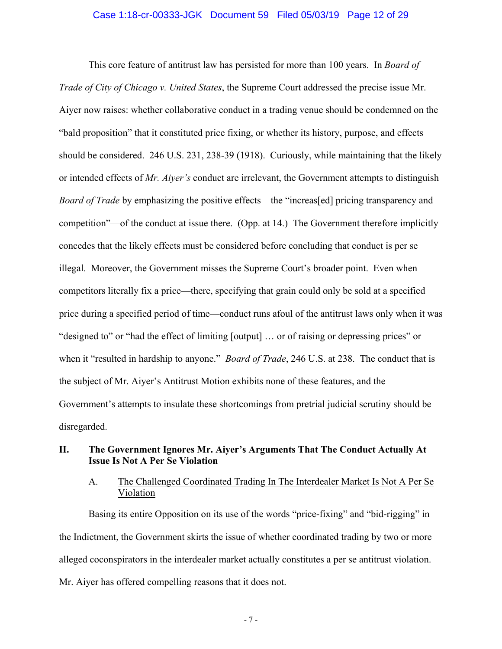#### Case 1:18-cr-00333-JGK Document 59 Filed 05/03/19 Page 12 of 29

This core feature of antitrust law has persisted for more than 100 years. In *Board of Trade of City of Chicago v. United States*, the Supreme Court addressed the precise issue Mr. Aiyer now raises: whether collaborative conduct in a trading venue should be condemned on the "bald proposition" that it constituted price fixing, or whether its history, purpose, and effects should be considered. 246 U.S. 231, 238-39 (1918). Curiously, while maintaining that the likely or intended effects of *Mr. Aiyer's* conduct are irrelevant, the Government attempts to distinguish *Board of Trade* by emphasizing the positive effects—the "increas[ed] pricing transparency and competition"—of the conduct at issue there. (Opp. at 14.) The Government therefore implicitly concedes that the likely effects must be considered before concluding that conduct is per se illegal. Moreover, the Government misses the Supreme Court's broader point. Even when competitors literally fix a price—there, specifying that grain could only be sold at a specified price during a specified period of time—conduct runs afoul of the antitrust laws only when it was "designed to" or "had the effect of limiting [output] … or of raising or depressing prices" or when it "resulted in hardship to anyone." *Board of Trade*, 246 U.S. at 238. The conduct that is the subject of Mr. Aiyer's Antitrust Motion exhibits none of these features, and the Government's attempts to insulate these shortcomings from pretrial judicial scrutiny should be disregarded.

## **II. The Government Ignores Mr. Aiyer's Arguments That The Conduct Actually At Issue Is Not A Per Se Violation**

## A. The Challenged Coordinated Trading In The Interdealer Market Is Not A Per Se Violation

Basing its entire Opposition on its use of the words "price-fixing" and "bid-rigging" in the Indictment, the Government skirts the issue of whether coordinated trading by two or more alleged coconspirators in the interdealer market actually constitutes a per se antitrust violation. Mr. Aiyer has offered compelling reasons that it does not.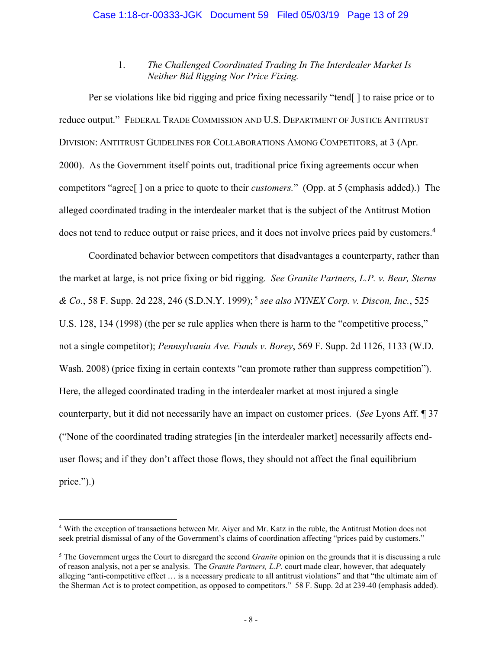## 1. *The Challenged Coordinated Trading In The Interdealer Market Is Neither Bid Rigging Nor Price Fixing.*

Per se violations like bid rigging and price fixing necessarily "tend[ ] to raise price or to reduce output." FEDERAL TRADE COMMISSION AND U.S. DEPARTMENT OF JUSTICE ANTITRUST DIVISION: ANTITRUST GUIDELINES FOR COLLABORATIONS AMONG COMPETITORS, at 3 (Apr. 2000). As the Government itself points out, traditional price fixing agreements occur when competitors "agree[ ] on a price to quote to their *customers.*" (Opp. at 5 (emphasis added).) The alleged coordinated trading in the interdealer market that is the subject of the Antitrust Motion does not tend to reduce output or raise prices, and it does not involve prices paid by customers.<sup>4</sup>

Coordinated behavior between competitors that disadvantages a counterparty, rather than the market at large, is not price fixing or bid rigging. *See Granite Partners, L.P. v. Bear, Sterns & Co.*, 58 F. Supp. 2d 228, 246 (S.D.N.Y. 1999);<sup>5</sup> see also *NYNEX Corp. v. Discon, Inc.*, 525 U.S. 128, 134 (1998) (the per se rule applies when there is harm to the "competitive process," not a single competitor); *Pennsylvania Ave. Funds v. Borey*, 569 F. Supp. 2d 1126, 1133 (W.D. Wash. 2008) (price fixing in certain contexts "can promote rather than suppress competition"). Here, the alleged coordinated trading in the interdealer market at most injured a single counterparty, but it did not necessarily have an impact on customer prices. (*See* Lyons Aff. ¶ 37 ("None of the coordinated trading strategies [in the interdealer market] necessarily affects enduser flows; and if they don't affect those flows, they should not affect the final equilibrium price.").)

<sup>&</sup>lt;sup>4</sup> With the exception of transactions between Mr. Aiyer and Mr. Katz in the ruble, the Antitrust Motion does not seek pretrial dismissal of any of the Government's claims of coordination affecting "prices paid by customers."

<sup>5</sup> The Government urges the Court to disregard the second *Granite* opinion on the grounds that it is discussing a rule of reason analysis, not a per se analysis. The *Granite Partners, L.P.* court made clear, however, that adequately alleging "anti-competitive effect … is a necessary predicate to all antitrust violations" and that "the ultimate aim of the Sherman Act is to protect competition, as opposed to competitors." 58 F. Supp. 2d at 239-40 (emphasis added).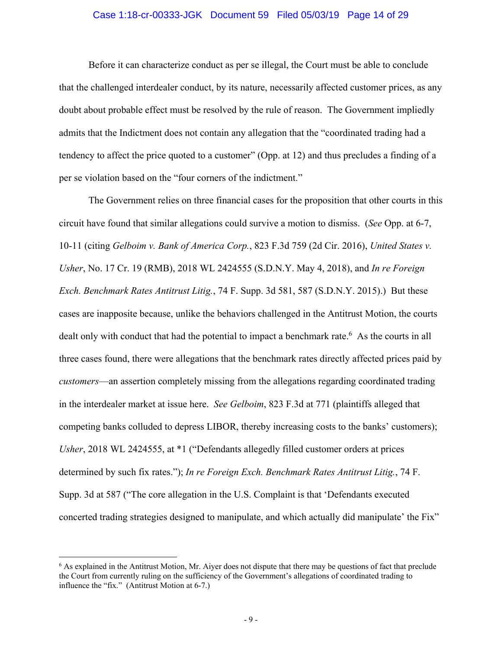#### Case 1:18-cr-00333-JGK Document 59 Filed 05/03/19 Page 14 of 29

Before it can characterize conduct as per se illegal, the Court must be able to conclude that the challenged interdealer conduct, by its nature, necessarily affected customer prices, as any doubt about probable effect must be resolved by the rule of reason. The Government impliedly admits that the Indictment does not contain any allegation that the "coordinated trading had a tendency to affect the price quoted to a customer" (Opp. at 12) and thus precludes a finding of a per se violation based on the "four corners of the indictment."

The Government relies on three financial cases for the proposition that other courts in this circuit have found that similar allegations could survive a motion to dismiss. (*See* Opp. at 6-7, 10-11 (citing *Gelboim v. Bank of America Corp.*, 823 F.3d 759 (2d Cir. 2016), *United States v. Usher*, No. 17 Cr. 19 (RMB), 2018 WL 2424555 (S.D.N.Y. May 4, 2018), and *In re Foreign Exch. Benchmark Rates Antitrust Litig.*, 74 F. Supp. 3d 581, 587 (S.D.N.Y. 2015).) But these cases are inapposite because, unlike the behaviors challenged in the Antitrust Motion, the courts dealt only with conduct that had the potential to impact a benchmark rate.<sup>6</sup> As the courts in all three cases found, there were allegations that the benchmark rates directly affected prices paid by *customers*—an assertion completely missing from the allegations regarding coordinated trading in the interdealer market at issue here. *See Gelboim*, 823 F.3d at 771 (plaintiffs alleged that competing banks colluded to depress LIBOR, thereby increasing costs to the banks' customers); *Usher*, 2018 WL 2424555, at \*1 ("Defendants allegedly filled customer orders at prices determined by such fix rates."); *In re Foreign Exch. Benchmark Rates Antitrust Litig.*, 74 F. Supp. 3d at 587 ("The core allegation in the U.S. Complaint is that 'Defendants executed concerted trading strategies designed to manipulate, and which actually did manipulate' the Fix"

1

<sup>6</sup> As explained in the Antitrust Motion, Mr. Aiyer does not dispute that there may be questions of fact that preclude the Court from currently ruling on the sufficiency of the Government's allegations of coordinated trading to influence the "fix." (Antitrust Motion at 6-7.)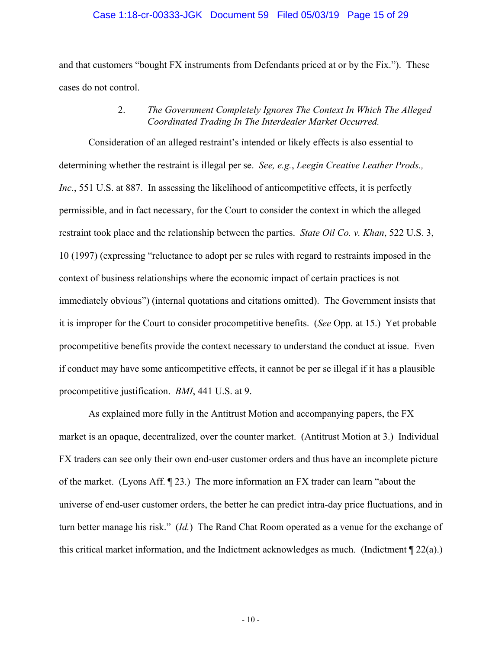#### Case 1:18-cr-00333-JGK Document 59 Filed 05/03/19 Page 15 of 29

and that customers "bought FX instruments from Defendants priced at or by the Fix."). These cases do not control.

## 2. *The Government Completely Ignores The Context In Which The Alleged Coordinated Trading In The Interdealer Market Occurred.*

Consideration of an alleged restraint's intended or likely effects is also essential to determining whether the restraint is illegal per se. *See, e.g.*, *Leegin Creative Leather Prods., Inc.*, 551 U.S. at 887. In assessing the likelihood of anticompetitive effects, it is perfectly permissible, and in fact necessary, for the Court to consider the context in which the alleged restraint took place and the relationship between the parties. *State Oil Co. v. Khan*, 522 U.S. 3, 10 (1997) (expressing "reluctance to adopt per se rules with regard to restraints imposed in the context of business relationships where the economic impact of certain practices is not immediately obvious") (internal quotations and citations omitted). The Government insists that it is improper for the Court to consider procompetitive benefits. (*See* Opp. at 15.) Yet probable procompetitive benefits provide the context necessary to understand the conduct at issue. Even if conduct may have some anticompetitive effects, it cannot be per se illegal if it has a plausible procompetitive justification. *BMI*, 441 U.S. at 9.

As explained more fully in the Antitrust Motion and accompanying papers, the FX market is an opaque, decentralized, over the counter market. (Antitrust Motion at 3.) Individual FX traders can see only their own end-user customer orders and thus have an incomplete picture of the market. (Lyons Aff. ¶ 23.) The more information an FX trader can learn "about the universe of end-user customer orders, the better he can predict intra-day price fluctuations, and in turn better manage his risk." (*Id.*) The Rand Chat Room operated as a venue for the exchange of this critical market information, and the Indictment acknowledges as much. (Indictment  $\P$  22(a).)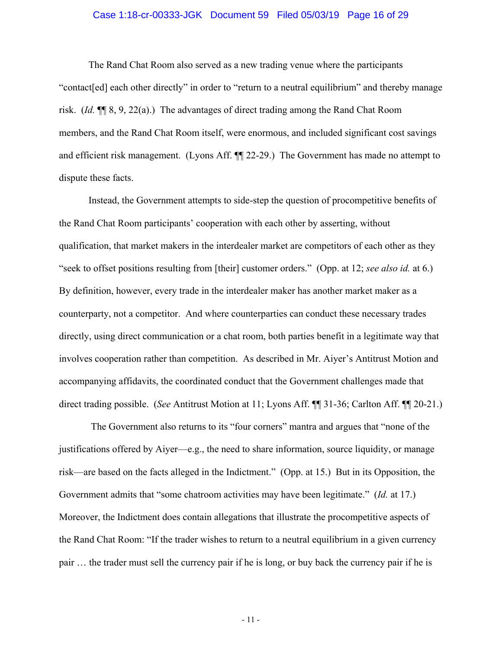#### Case 1:18-cr-00333-JGK Document 59 Filed 05/03/19 Page 16 of 29

The Rand Chat Room also served as a new trading venue where the participants "contact[ed] each other directly" in order to "return to a neutral equilibrium" and thereby manage risk. (*Id.* ¶¶ 8, 9, 22(a).) The advantages of direct trading among the Rand Chat Room members, and the Rand Chat Room itself, were enormous, and included significant cost savings and efficient risk management. (Lyons Aff. ¶¶ 22-29.) The Government has made no attempt to dispute these facts.

Instead, the Government attempts to side-step the question of procompetitive benefits of the Rand Chat Room participants' cooperation with each other by asserting, without qualification, that market makers in the interdealer market are competitors of each other as they "seek to offset positions resulting from [their] customer orders." (Opp. at 12; *see also id.* at 6.) By definition, however, every trade in the interdealer maker has another market maker as a counterparty, not a competitor. And where counterparties can conduct these necessary trades directly, using direct communication or a chat room, both parties benefit in a legitimate way that involves cooperation rather than competition. As described in Mr. Aiyer's Antitrust Motion and accompanying affidavits, the coordinated conduct that the Government challenges made that direct trading possible. (*See* Antitrust Motion at 11; Lyons Aff. ¶¶ 31-36; Carlton Aff. ¶¶ 20-21.)

 The Government also returns to its "four corners" mantra and argues that "none of the justifications offered by Aiyer—e.g., the need to share information, source liquidity, or manage risk—are based on the facts alleged in the Indictment." (Opp. at 15.) But in its Opposition, the Government admits that "some chatroom activities may have been legitimate." (*Id.* at 17.) Moreover, the Indictment does contain allegations that illustrate the procompetitive aspects of the Rand Chat Room: "If the trader wishes to return to a neutral equilibrium in a given currency pair … the trader must sell the currency pair if he is long, or buy back the currency pair if he is

- 11 -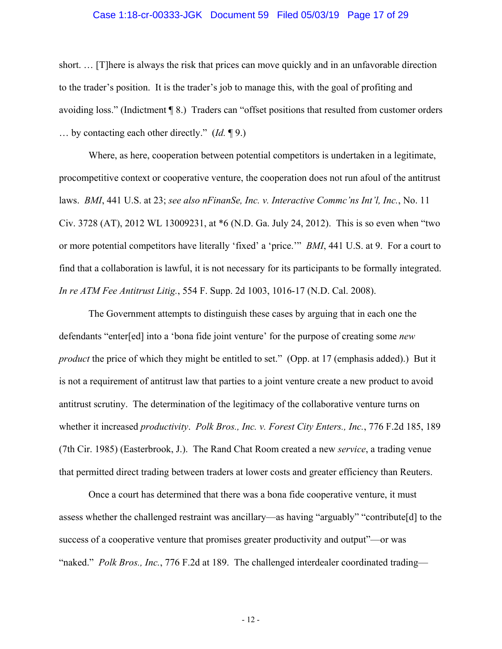#### Case 1:18-cr-00333-JGK Document 59 Filed 05/03/19 Page 17 of 29

short. … [T]here is always the risk that prices can move quickly and in an unfavorable direction to the trader's position. It is the trader's job to manage this, with the goal of profiting and avoiding loss." (Indictment ¶ 8.) Traders can "offset positions that resulted from customer orders … by contacting each other directly." (*Id.* ¶ 9.)

Where, as here, cooperation between potential competitors is undertaken in a legitimate, procompetitive context or cooperative venture, the cooperation does not run afoul of the antitrust laws. *BMI*, 441 U.S. at 23; *see also nFinanSe, Inc. v. Interactive Commc'ns Int'l, Inc.*, No. 11 Civ. 3728 (AT), 2012 WL 13009231, at \*6 (N.D. Ga. July 24, 2012). This is so even when "two or more potential competitors have literally 'fixed' a 'price.'" *BMI*, 441 U.S. at 9. For a court to find that a collaboration is lawful, it is not necessary for its participants to be formally integrated. *In re ATM Fee Antitrust Litig.*, 554 F. Supp. 2d 1003, 1016-17 (N.D. Cal. 2008).

The Government attempts to distinguish these cases by arguing that in each one the defendants "enter[ed] into a 'bona fide joint venture' for the purpose of creating some *new product* the price of which they might be entitled to set." (Opp. at 17 (emphasis added).) But it is not a requirement of antitrust law that parties to a joint venture create a new product to avoid antitrust scrutiny. The determination of the legitimacy of the collaborative venture turns on whether it increased *productivity*. *Polk Bros., Inc. v. Forest City Enters., Inc.*, 776 F.2d 185, 189 (7th Cir. 1985) (Easterbrook, J.). The Rand Chat Room created a new *service*, a trading venue that permitted direct trading between traders at lower costs and greater efficiency than Reuters.

Once a court has determined that there was a bona fide cooperative venture, it must assess whether the challenged restraint was ancillary—as having "arguably" "contribute[d] to the success of a cooperative venture that promises greater productivity and output"—or was "naked." *Polk Bros., Inc.*, 776 F.2d at 189. The challenged interdealer coordinated trading—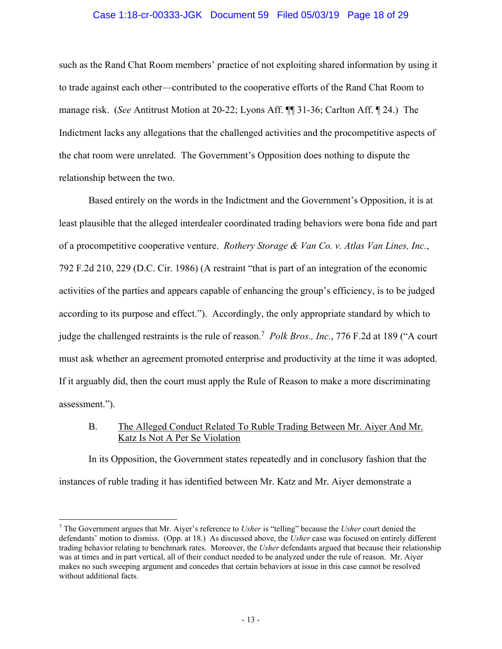#### Case 1:18-cr-00333-JGK Document 59 Filed 05/03/19 Page 18 of 29

such as the Rand Chat Room members' practice of not exploiting shared information by using it to trade against each other—contributed to the cooperative efforts of the Rand Chat Room to manage risk. (*See* Antitrust Motion at 20-22; Lyons Aff. ¶¶ 31-36; Carlton Aff. ¶ 24.) The Indictment lacks any allegations that the challenged activities and the procompetitive aspects of the chat room were unrelated. The Government's Opposition does nothing to dispute the relationship between the two.

Based entirely on the words in the Indictment and the Government's Opposition, it is at least plausible that the alleged interdealer coordinated trading behaviors were bona fide and part of a procompetitive cooperative venture. *Rothery Storage & Van Co. v. Atlas Van Lines, Inc.*, 792 F.2d 210, 229 (D.C. Cir. 1986) (A restraint "that is part of an integration of the economic activities of the parties and appears capable of enhancing the group's efficiency, is to be judged according to its purpose and effect."). Accordingly, the only appropriate standard by which to judge the challenged restraints is the rule of reason.<sup>7</sup> Polk Bros., Inc., 776 F.2d at 189 ("A court must ask whether an agreement promoted enterprise and productivity at the time it was adopted. If it arguably did, then the court must apply the Rule of Reason to make a more discriminating assessment.").

## B. The Alleged Conduct Related To Ruble Trading Between Mr. Aiyer And Mr. Katz Is Not A Per Se Violation

In its Opposition, the Government states repeatedly and in conclusory fashion that the instances of ruble trading it has identified between Mr. Katz and Mr. Aiyer demonstrate a

<sup>7</sup> The Government argues that Mr. Aiyer's reference to *Usher* is "telling" because the *Usher* court denied the defendants' motion to dismiss. (Opp. at 18.) As discussed above, the *Usher* case was focused on entirely different trading behavior relating to benchmark rates. Moreover, the *Usher* defendants argued that because their relationship was at times and in part vertical, all of their conduct needed to be analyzed under the rule of reason. Mr. Aiyer makes no such sweeping argument and concedes that certain behaviors at issue in this case cannot be resolved without additional facts.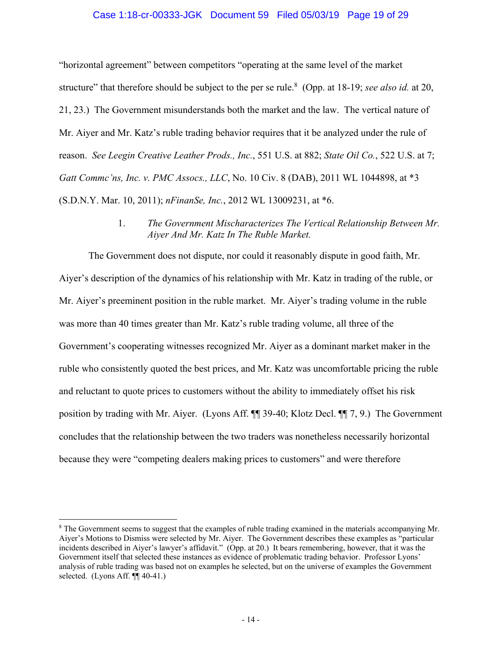#### Case 1:18-cr-00333-JGK Document 59 Filed 05/03/19 Page 19 of 29

"horizontal agreement" between competitors "operating at the same level of the market structure" that therefore should be subject to the per se rule.<sup>8</sup> (Opp. at 18-19; *see also id.* at 20, 21, 23.) The Government misunderstands both the market and the law. The vertical nature of Mr. Aiyer and Mr. Katz's ruble trading behavior requires that it be analyzed under the rule of reason. *See Leegin Creative Leather Prods., Inc.*, 551 U.S. at 882; *State Oil Co.*, 522 U.S. at 7; *Gatt Commc'ns, Inc. v. PMC Assocs., LLC*, No. 10 Civ. 8 (DAB), 2011 WL 1044898, at \*3 (S.D.N.Y. Mar. 10, 2011); *nFinanSe, Inc.*, 2012 WL 13009231, at \*6.

> 1. *The Government Mischaracterizes The Vertical Relationship Between Mr. Aiyer And Mr. Katz In The Ruble Market.*

The Government does not dispute, nor could it reasonably dispute in good faith, Mr. Aiyer's description of the dynamics of his relationship with Mr. Katz in trading of the ruble, or Mr. Aiyer's preeminent position in the ruble market. Mr. Aiyer's trading volume in the ruble was more than 40 times greater than Mr. Katz's ruble trading volume, all three of the Government's cooperating witnesses recognized Mr. Aiyer as a dominant market maker in the ruble who consistently quoted the best prices, and Mr. Katz was uncomfortable pricing the ruble and reluctant to quote prices to customers without the ability to immediately offset his risk position by trading with Mr. Aiyer. (Lyons Aff. ¶¶ 39-40; Klotz Decl. ¶¶ 7, 9.) The Government concludes that the relationship between the two traders was nonetheless necessarily horizontal because they were "competing dealers making prices to customers" and were therefore

<sup>&</sup>lt;sup>8</sup> The Government seems to suggest that the examples of ruble trading examined in the materials accompanying Mr. Aiyer's Motions to Dismiss were selected by Mr. Aiyer. The Government describes these examples as "particular incidents described in Aiyer's lawyer's affidavit." (Opp. at 20.) It bears remembering, however, that it was the Government itself that selected these instances as evidence of problematic trading behavior. Professor Lyons' analysis of ruble trading was based not on examples he selected, but on the universe of examples the Government selected. (Lyons Aff. ¶¶ 40-41.)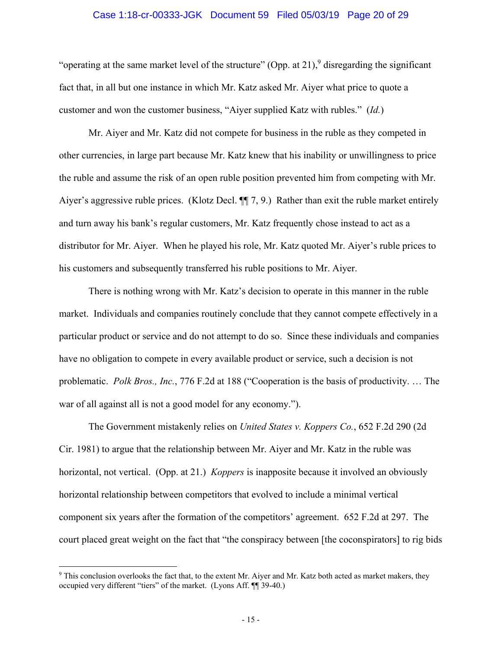#### Case 1:18-cr-00333-JGK Document 59 Filed 05/03/19 Page 20 of 29

"operating at the same market level of the structure" (Opp. at 21),  $9$  disregarding the significant fact that, in all but one instance in which Mr. Katz asked Mr. Aiyer what price to quote a customer and won the customer business, "Aiyer supplied Katz with rubles." (*Id.*)

Mr. Aiyer and Mr. Katz did not compete for business in the ruble as they competed in other currencies, in large part because Mr. Katz knew that his inability or unwillingness to price the ruble and assume the risk of an open ruble position prevented him from competing with Mr. Aiyer's aggressive ruble prices. (Klotz Decl. ¶¶ 7, 9.) Rather than exit the ruble market entirely and turn away his bank's regular customers, Mr. Katz frequently chose instead to act as a distributor for Mr. Aiyer. When he played his role, Mr. Katz quoted Mr. Aiyer's ruble prices to his customers and subsequently transferred his ruble positions to Mr. Aiyer.

There is nothing wrong with Mr. Katz's decision to operate in this manner in the ruble market. Individuals and companies routinely conclude that they cannot compete effectively in a particular product or service and do not attempt to do so. Since these individuals and companies have no obligation to compete in every available product or service, such a decision is not problematic. *Polk Bros., Inc.*, 776 F.2d at 188 ("Cooperation is the basis of productivity. … The war of all against all is not a good model for any economy.").

The Government mistakenly relies on *United States v. Koppers Co.*, 652 F.2d 290 (2d Cir. 1981) to argue that the relationship between Mr. Aiyer and Mr. Katz in the ruble was horizontal, not vertical. (Opp. at 21.) *Koppers* is inapposite because it involved an obviously horizontal relationship between competitors that evolved to include a minimal vertical component six years after the formation of the competitors' agreement. 652 F.2d at 297. The court placed great weight on the fact that "the conspiracy between [the coconspirators] to rig bids

<sup>&</sup>lt;sup>9</sup> This conclusion overlooks the fact that, to the extent Mr. Aiyer and Mr. Katz both acted as market makers, they occupied very different "tiers" of the market. (Lyons Aff. ¶¶ 39-40.)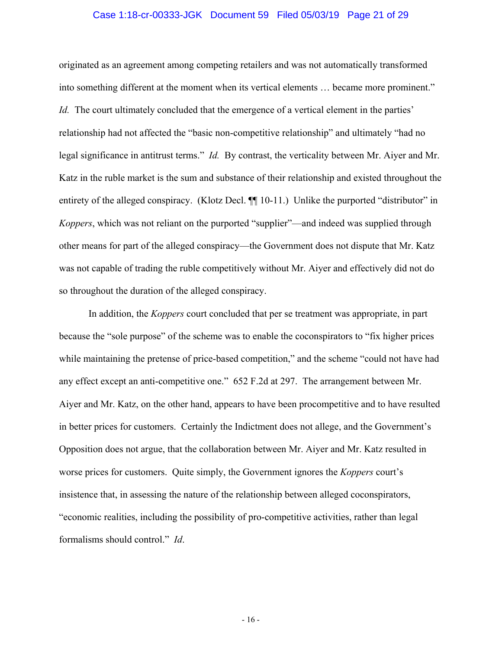#### Case 1:18-cr-00333-JGK Document 59 Filed 05/03/19 Page 21 of 29

originated as an agreement among competing retailers and was not automatically transformed into something different at the moment when its vertical elements … became more prominent." *Id.* The court ultimately concluded that the emergence of a vertical element in the parties' relationship had not affected the "basic non-competitive relationship" and ultimately "had no legal significance in antitrust terms." *Id.* By contrast, the verticality between Mr. Aiyer and Mr. Katz in the ruble market is the sum and substance of their relationship and existed throughout the entirety of the alleged conspiracy. (Klotz Decl.  $\P$  10-11.) Unlike the purported "distributor" in *Koppers*, which was not reliant on the purported "supplier"—and indeed was supplied through other means for part of the alleged conspiracy—the Government does not dispute that Mr. Katz was not capable of trading the ruble competitively without Mr. Aiyer and effectively did not do so throughout the duration of the alleged conspiracy.

In addition, the *Koppers* court concluded that per se treatment was appropriate, in part because the "sole purpose" of the scheme was to enable the coconspirators to "fix higher prices while maintaining the pretense of price-based competition," and the scheme "could not have had any effect except an anti-competitive one." 652 F.2d at 297. The arrangement between Mr. Aiyer and Mr. Katz, on the other hand, appears to have been procompetitive and to have resulted in better prices for customers. Certainly the Indictment does not allege, and the Government's Opposition does not argue, that the collaboration between Mr. Aiyer and Mr. Katz resulted in worse prices for customers. Quite simply, the Government ignores the *Koppers* court's insistence that, in assessing the nature of the relationship between alleged coconspirators, "economic realities, including the possibility of pro-competitive activities, rather than legal formalisms should control." *Id*.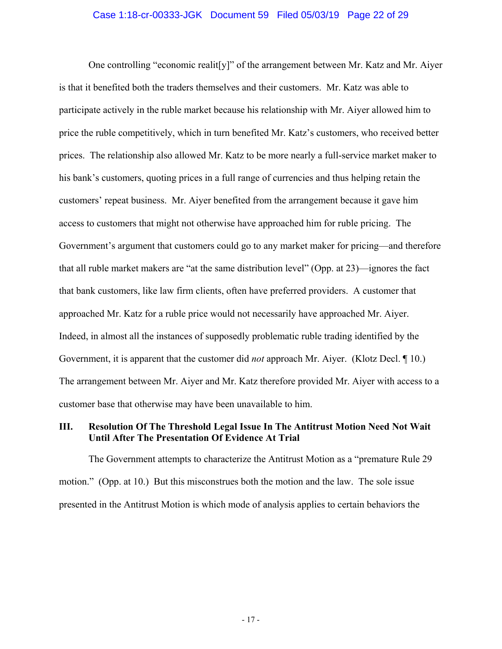#### Case 1:18-cr-00333-JGK Document 59 Filed 05/03/19 Page 22 of 29

One controlling "economic realit[y]" of the arrangement between Mr. Katz and Mr. Aiyer is that it benefited both the traders themselves and their customers. Mr. Katz was able to participate actively in the ruble market because his relationship with Mr. Aiyer allowed him to price the ruble competitively, which in turn benefited Mr. Katz's customers, who received better prices. The relationship also allowed Mr. Katz to be more nearly a full-service market maker to his bank's customers, quoting prices in a full range of currencies and thus helping retain the customers' repeat business. Mr. Aiyer benefited from the arrangement because it gave him access to customers that might not otherwise have approached him for ruble pricing. The Government's argument that customers could go to any market maker for pricing—and therefore that all ruble market makers are "at the same distribution level" (Opp. at 23)—ignores the fact that bank customers, like law firm clients, often have preferred providers. A customer that approached Mr. Katz for a ruble price would not necessarily have approached Mr. Aiyer. Indeed, in almost all the instances of supposedly problematic ruble trading identified by the Government, it is apparent that the customer did *not* approach Mr. Aiyer. (Klotz Decl. ¶ 10.) The arrangement between Mr. Aiyer and Mr. Katz therefore provided Mr. Aiyer with access to a customer base that otherwise may have been unavailable to him.

## **III. Resolution Of The Threshold Legal Issue In The Antitrust Motion Need Not Wait Until After The Presentation Of Evidence At Trial**

The Government attempts to characterize the Antitrust Motion as a "premature Rule 29 motion." (Opp. at 10.) But this misconstrues both the motion and the law. The sole issue presented in the Antitrust Motion is which mode of analysis applies to certain behaviors the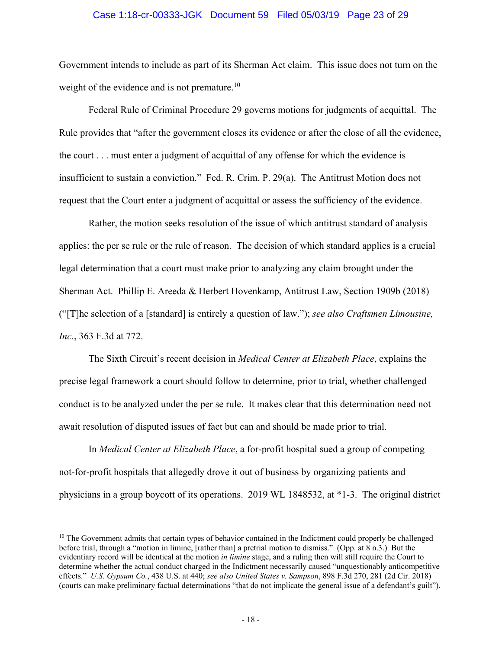#### Case 1:18-cr-00333-JGK Document 59 Filed 05/03/19 Page 23 of 29

Government intends to include as part of its Sherman Act claim. This issue does not turn on the weight of the evidence and is not premature.<sup>10</sup>

Federal Rule of Criminal Procedure 29 governs motions for judgments of acquittal. The Rule provides that "after the government closes its evidence or after the close of all the evidence, the court . . . must enter a judgment of acquittal of any offense for which the evidence is insufficient to sustain a conviction." Fed. R. Crim. P. 29(a). The Antitrust Motion does not request that the Court enter a judgment of acquittal or assess the sufficiency of the evidence.

Rather, the motion seeks resolution of the issue of which antitrust standard of analysis applies: the per se rule or the rule of reason. The decision of which standard applies is a crucial legal determination that a court must make prior to analyzing any claim brought under the Sherman Act. Phillip E. Areeda & Herbert Hovenkamp, Antitrust Law, Section 1909b (2018) ("[T]he selection of a [standard] is entirely a question of law."); *see also Craftsmen Limousine, Inc.*, 363 F.3d at 772.

The Sixth Circuit's recent decision in *Medical Center at Elizabeth Place*, explains the precise legal framework a court should follow to determine, prior to trial, whether challenged conduct is to be analyzed under the per se rule. It makes clear that this determination need not await resolution of disputed issues of fact but can and should be made prior to trial.

In *Medical Center at Elizabeth Place*, a for-profit hospital sued a group of competing not-for-profit hospitals that allegedly drove it out of business by organizing patients and physicians in a group boycott of its operations. 2019 WL 1848532, at \*1-3. The original district

<sup>&</sup>lt;sup>10</sup> The Government admits that certain types of behavior contained in the Indictment could properly be challenged before trial, through a "motion in limine, [rather than] a pretrial motion to dismiss." (Opp. at 8 n.3.) But the evidentiary record will be identical at the motion *in limine* stage, and a ruling then will still require the Court to determine whether the actual conduct charged in the Indictment necessarily caused "unquestionably anticompetitive effects." *U.S. Gypsum Co.*, 438 U.S. at 440; *see also United States v. Sampson*, 898 F.3d 270, 281 (2d Cir. 2018) (courts can make preliminary factual determinations "that do not implicate the general issue of a defendant's guilt").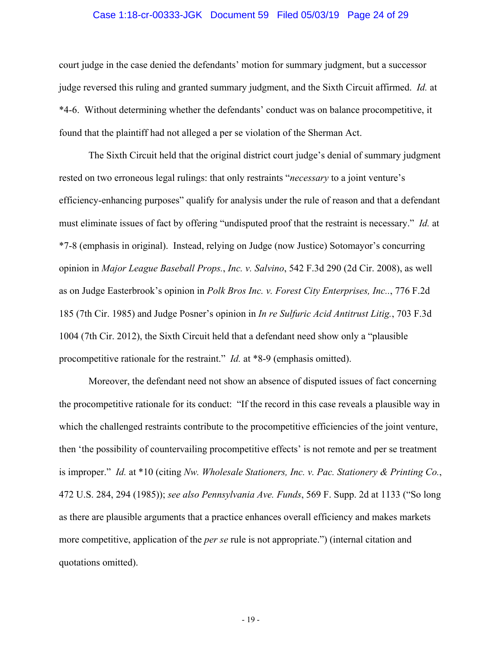#### Case 1:18-cr-00333-JGK Document 59 Filed 05/03/19 Page 24 of 29

court judge in the case denied the defendants' motion for summary judgment, but a successor judge reversed this ruling and granted summary judgment, and the Sixth Circuit affirmed. *Id.* at \*4-6. Without determining whether the defendants' conduct was on balance procompetitive, it found that the plaintiff had not alleged a per se violation of the Sherman Act.

The Sixth Circuit held that the original district court judge's denial of summary judgment rested on two erroneous legal rulings: that only restraints "*necessary* to a joint venture's efficiency-enhancing purposes" qualify for analysis under the rule of reason and that a defendant must eliminate issues of fact by offering "undisputed proof that the restraint is necessary." *Id.* at \*7-8 (emphasis in original). Instead, relying on Judge (now Justice) Sotomayor's concurring opinion in *Major League Baseball Props.*, *Inc. v. Salvino*, 542 F.3d 290 (2d Cir. 2008), as well as on Judge Easterbrook's opinion in *Polk Bros Inc. v. Forest City Enterprises, Inc..*, 776 F.2d 185 (7th Cir. 1985) and Judge Posner's opinion in *In re Sulfuric Acid Antitrust Litig.*, 703 F.3d 1004 (7th Cir. 2012), the Sixth Circuit held that a defendant need show only a "plausible procompetitive rationale for the restraint." *Id.* at \*8-9 (emphasis omitted).

Moreover, the defendant need not show an absence of disputed issues of fact concerning the procompetitive rationale for its conduct: "If the record in this case reveals a plausible way in which the challenged restraints contribute to the procompetitive efficiencies of the joint venture, then 'the possibility of countervailing procompetitive effects' is not remote and per se treatment is improper." *Id.* at \*10 (citing *Nw. Wholesale Stationers, Inc. v. Pac. Stationery & Printing Co.*, 472 U.S. 284, 294 (1985)); *see also Pennsylvania Ave. Funds*, 569 F. Supp. 2d at 1133 ("So long as there are plausible arguments that a practice enhances overall efficiency and makes markets more competitive, application of the *per se* rule is not appropriate.") (internal citation and quotations omitted).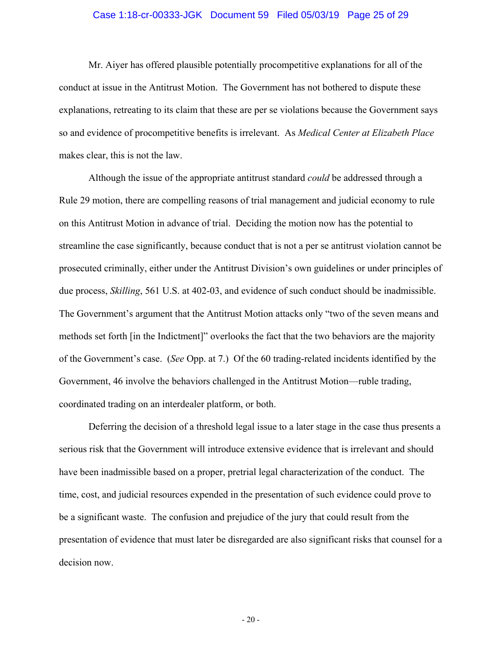#### Case 1:18-cr-00333-JGK Document 59 Filed 05/03/19 Page 25 of 29

Mr. Aiyer has offered plausible potentially procompetitive explanations for all of the conduct at issue in the Antitrust Motion. The Government has not bothered to dispute these explanations, retreating to its claim that these are per se violations because the Government says so and evidence of procompetitive benefits is irrelevant. As *Medical Center at Elizabeth Place*  makes clear, this is not the law.

Although the issue of the appropriate antitrust standard *could* be addressed through a Rule 29 motion, there are compelling reasons of trial management and judicial economy to rule on this Antitrust Motion in advance of trial. Deciding the motion now has the potential to streamline the case significantly, because conduct that is not a per se antitrust violation cannot be prosecuted criminally, either under the Antitrust Division's own guidelines or under principles of due process, *Skilling*, 561 U.S. at 402-03, and evidence of such conduct should be inadmissible. The Government's argument that the Antitrust Motion attacks only "two of the seven means and methods set forth [in the Indictment]" overlooks the fact that the two behaviors are the majority of the Government's case. (*See* Opp. at 7.) Of the 60 trading-related incidents identified by the Government, 46 involve the behaviors challenged in the Antitrust Motion—ruble trading, coordinated trading on an interdealer platform, or both.

Deferring the decision of a threshold legal issue to a later stage in the case thus presents a serious risk that the Government will introduce extensive evidence that is irrelevant and should have been inadmissible based on a proper, pretrial legal characterization of the conduct. The time, cost, and judicial resources expended in the presentation of such evidence could prove to be a significant waste. The confusion and prejudice of the jury that could result from the presentation of evidence that must later be disregarded are also significant risks that counsel for a decision now.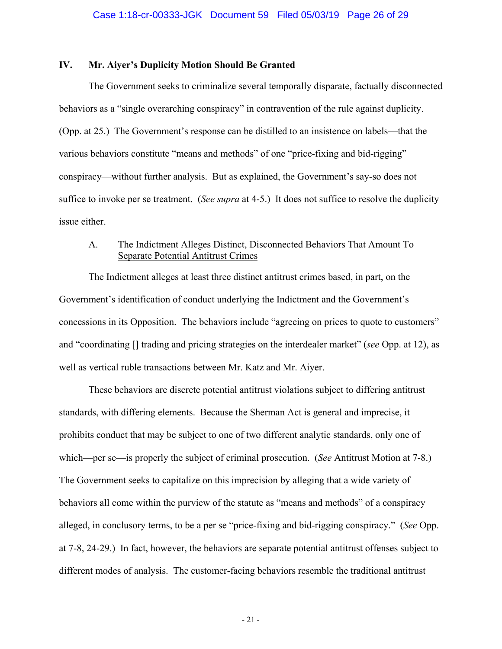### **IV. Mr. Aiyer's Duplicity Motion Should Be Granted**

The Government seeks to criminalize several temporally disparate, factually disconnected behaviors as a "single overarching conspiracy" in contravention of the rule against duplicity. (Opp. at 25.) The Government's response can be distilled to an insistence on labels—that the various behaviors constitute "means and methods" of one "price-fixing and bid-rigging" conspiracy—without further analysis. But as explained, the Government's say-so does not suffice to invoke per se treatment. (*See supra* at 4-5.) It does not suffice to resolve the duplicity issue either.

## A. The Indictment Alleges Distinct, Disconnected Behaviors That Amount To Separate Potential Antitrust Crimes

The Indictment alleges at least three distinct antitrust crimes based, in part, on the Government's identification of conduct underlying the Indictment and the Government's concessions in its Opposition. The behaviors include "agreeing on prices to quote to customers" and "coordinating [] trading and pricing strategies on the interdealer market" (*see* Opp. at 12), as well as vertical ruble transactions between Mr. Katz and Mr. Aiyer.

These behaviors are discrete potential antitrust violations subject to differing antitrust standards, with differing elements. Because the Sherman Act is general and imprecise, it prohibits conduct that may be subject to one of two different analytic standards, only one of which—per se—is properly the subject of criminal prosecution. (*See* Antitrust Motion at 7-8.) The Government seeks to capitalize on this imprecision by alleging that a wide variety of behaviors all come within the purview of the statute as "means and methods" of a conspiracy alleged, in conclusory terms, to be a per se "price-fixing and bid-rigging conspiracy." (*See* Opp. at 7-8, 24-29.) In fact, however, the behaviors are separate potential antitrust offenses subject to different modes of analysis. The customer-facing behaviors resemble the traditional antitrust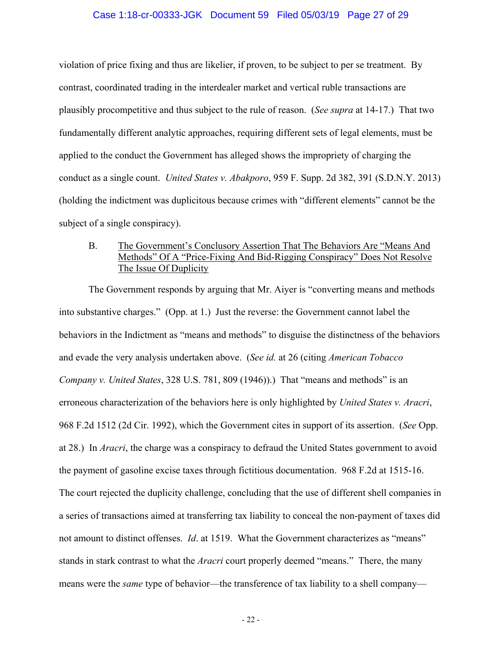#### Case 1:18-cr-00333-JGK Document 59 Filed 05/03/19 Page 27 of 29

violation of price fixing and thus are likelier, if proven, to be subject to per se treatment. By contrast, coordinated trading in the interdealer market and vertical ruble transactions are plausibly procompetitive and thus subject to the rule of reason. (*See supra* at 14-17.) That two fundamentally different analytic approaches, requiring different sets of legal elements, must be applied to the conduct the Government has alleged shows the impropriety of charging the conduct as a single count. *United States v. Abakporo*, 959 F. Supp. 2d 382, 391 (S.D.N.Y. 2013) (holding the indictment was duplicitous because crimes with "different elements" cannot be the subject of a single conspiracy).

## B. The Government's Conclusory Assertion That The Behaviors Are "Means And Methods" Of A "Price-Fixing And Bid-Rigging Conspiracy" Does Not Resolve The Issue Of Duplicity

The Government responds by arguing that Mr. Aiyer is "converting means and methods into substantive charges." (Opp. at 1.) Just the reverse: the Government cannot label the behaviors in the Indictment as "means and methods" to disguise the distinctness of the behaviors and evade the very analysis undertaken above. (*See id.* at 26 (citing *American Tobacco Company v. United States*, 328 U.S. 781, 809 (1946)).) That "means and methods" is an erroneous characterization of the behaviors here is only highlighted by *United States v. Aracri*, 968 F.2d 1512 (2d Cir. 1992), which the Government cites in support of its assertion. (*See* Opp. at 28.) In *Aracri*, the charge was a conspiracy to defraud the United States government to avoid the payment of gasoline excise taxes through fictitious documentation. 968 F.2d at 1515-16. The court rejected the duplicity challenge, concluding that the use of different shell companies in a series of transactions aimed at transferring tax liability to conceal the non-payment of taxes did not amount to distinct offenses. *Id*. at 1519. What the Government characterizes as "means" stands in stark contrast to what the *Aracri* court properly deemed "means." There, the many means were the *same* type of behavior—the transference of tax liability to a shell company—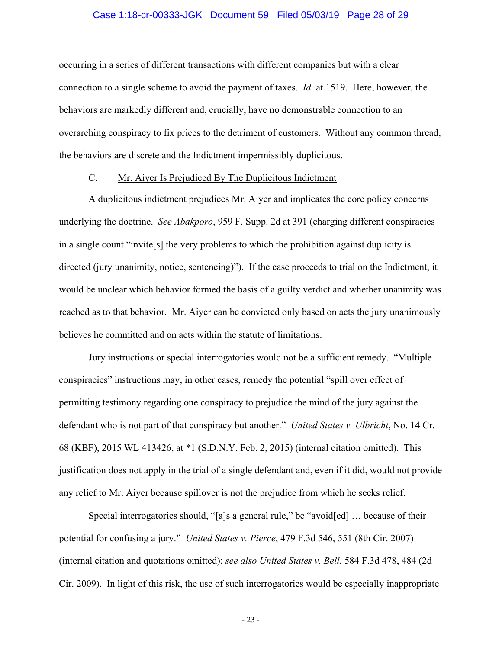#### Case 1:18-cr-00333-JGK Document 59 Filed 05/03/19 Page 28 of 29

occurring in a series of different transactions with different companies but with a clear connection to a single scheme to avoid the payment of taxes. *Id.* at 1519. Here, however, the behaviors are markedly different and, crucially, have no demonstrable connection to an overarching conspiracy to fix prices to the detriment of customers. Without any common thread, the behaviors are discrete and the Indictment impermissibly duplicitous.

#### C. Mr. Aiyer Is Prejudiced By The Duplicitous Indictment

A duplicitous indictment prejudices Mr. Aiyer and implicates the core policy concerns underlying the doctrine. *See Abakporo*, 959 F. Supp. 2d at 391 (charging different conspiracies in a single count "invite[s] the very problems to which the prohibition against duplicity is directed (jury unanimity, notice, sentencing)"). If the case proceeds to trial on the Indictment, it would be unclear which behavior formed the basis of a guilty verdict and whether unanimity was reached as to that behavior. Mr. Aiyer can be convicted only based on acts the jury unanimously believes he committed and on acts within the statute of limitations.

Jury instructions or special interrogatories would not be a sufficient remedy. "Multiple conspiracies" instructions may, in other cases, remedy the potential "spill over effect of permitting testimony regarding one conspiracy to prejudice the mind of the jury against the defendant who is not part of that conspiracy but another." *United States v. Ulbricht*, No. 14 Cr. 68 (KBF), 2015 WL 413426, at \*1 (S.D.N.Y. Feb. 2, 2015) (internal citation omitted). This justification does not apply in the trial of a single defendant and, even if it did, would not provide any relief to Mr. Aiyer because spillover is not the prejudice from which he seeks relief.

Special interrogatories should, "[a]s a general rule," be "avoid[ed] … because of their potential for confusing a jury." *United States v. Pierce*, 479 F.3d 546, 551 (8th Cir. 2007) (internal citation and quotations omitted); *see also United States v. Bell*, 584 F.3d 478, 484 (2d Cir. 2009). In light of this risk, the use of such interrogatories would be especially inappropriate

- 23 -